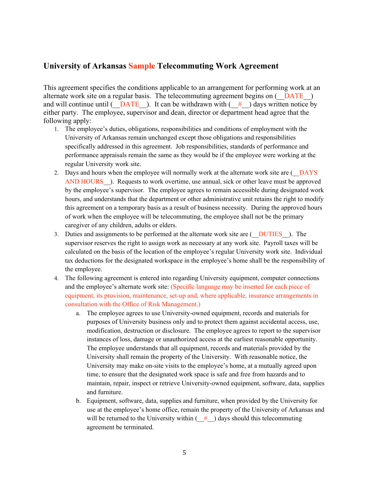## **University of Arkansas Sample Telecommuting Work Agreement**

This agreement specifies the conditions applicable to an arrangement for performing work at an alternate work site on a regular basis. The telecommuting agreement begins on  $($  DATE  $)$ and will continue until ( $\overline{DATE}$ ). It can be withdrawn with ( $\#$ ) days written notice by either party. The employee, supervisor and dean, director or department head agree that the following apply:

- 1. The employee's duties, obligations, responsibilities and conditions of employment with the University of Arkansas remain unchanged except those obligations and responsibilities specifically addressed in this agreement. Job responsibilities, standards of performance and performance appraisals remain the same as they would be if the employee were working at the regular University work site.
- 2. Days and hours when the employee will normally work at the alternate work site are ( $\overline{DAYS}$ AND HOURS ). Requests to work overtime, use annual, sick or other leave must be approved by the employee's supervisor. The employee agrees to remain accessible during designated work hours, and understands that the department or other administrative unit retains the right to modify this agreement on a temporary basis as a result of business necessity. During the approved hours of work when the employee will be telecommuting, the employee shall not be the primary caregiver of any children, adults or elders.
- 3. Duties and assignments to be performed at the alternate work site are (\_\_DUTIES\_\_). The supervisor reserves the right to assign work as necessary at any work site. Payroll taxes will be calculated on the basis of the location of the employee's regular University work site. Individual tax deductions for the designated workspace in the employee's home shall be the responsibility of the employee.
- 4. The following agreement is entered into regarding University equipment, computer connections and the employee's alternate work site: (Specific language may be inserted for each piece of equipment, its provision, maintenance, set-up and, where applicable, insurance arrangements in consultation with the Office of Risk Management.)
	- a. The employee agrees to use University-owned equipment, records and materials for purposes of University business only and to protect them against accidental access, use, modification, destruction or disclosure. The employee agrees to report to the supervisor instances of loss, damage or unauthorized access at the earliest reasonable opportunity. The employee understands that all equipment, records and materials provided by the University shall remain the property of the University. With reasonable notice, the University may make on-site visits to the employee's home, at a mutually agreed upon time, to ensure that the designated work space is safe and free from hazards and to maintain, repair, inspect or retrieve University-owned equipment, software, data, supplies and furniture.
	- b. Equipment, software, data, supplies and furniture, when provided by the University for use at the employee's home office, remain the property of the University of Arkansas and will be returned to the University within  $($   $#$   $)$  days should this telecommuting agreement be terminated.